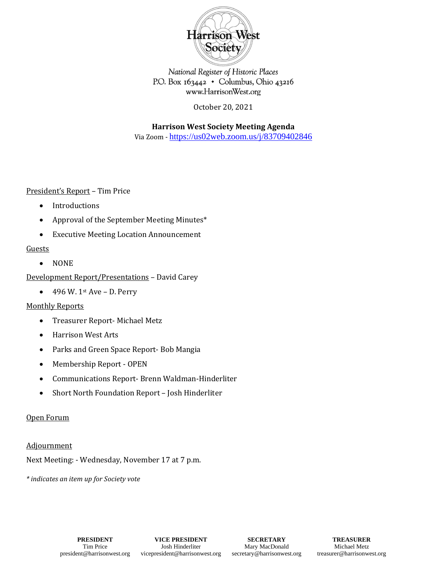

National Register of Historic Places P.O. Box 163442 • Columbus, Ohio 43216 www.HarrisonWest.org

October 20, 2021

**Harrison West Society Meeting Agenda** Via Zoom - [https://us02web.zoom.us/j/83709402846](https://urldefense.com/v3/__https:/us02web.zoom.us/j/83709402846__;!!OdqygGz-7UHvSw!5wFgNNKgumWluep9dKT8l9GKPXuuufS9tDLM851dAcTjqy1foKm8wzHlJLeV9t8XcdoHJMsVpP4$)

President's Report – Tim Price

- Introductions
- Approval of the September Meeting Minutes\*
- Executive Meeting Location Announcement

## **Guests**

• NONE

Development Report/Presentations – David Carey

 $\bullet$  496 W. 1st Ave – D. Perry

## Monthly Reports

- Treasurer Report- Michael Metz
- Harrison West Arts
- Parks and Green Space Report- Bob Mangia
- Membership Report OPEN
- Communications Report- Brenn Waldman-Hinderliter
- Short North Foundation Report Josh Hinderliter

#### Open Forum

#### Adjournment

Next Meeting: - Wednesday, November 17 at 7 p.m.

*\* indicates an item up for Society vote*